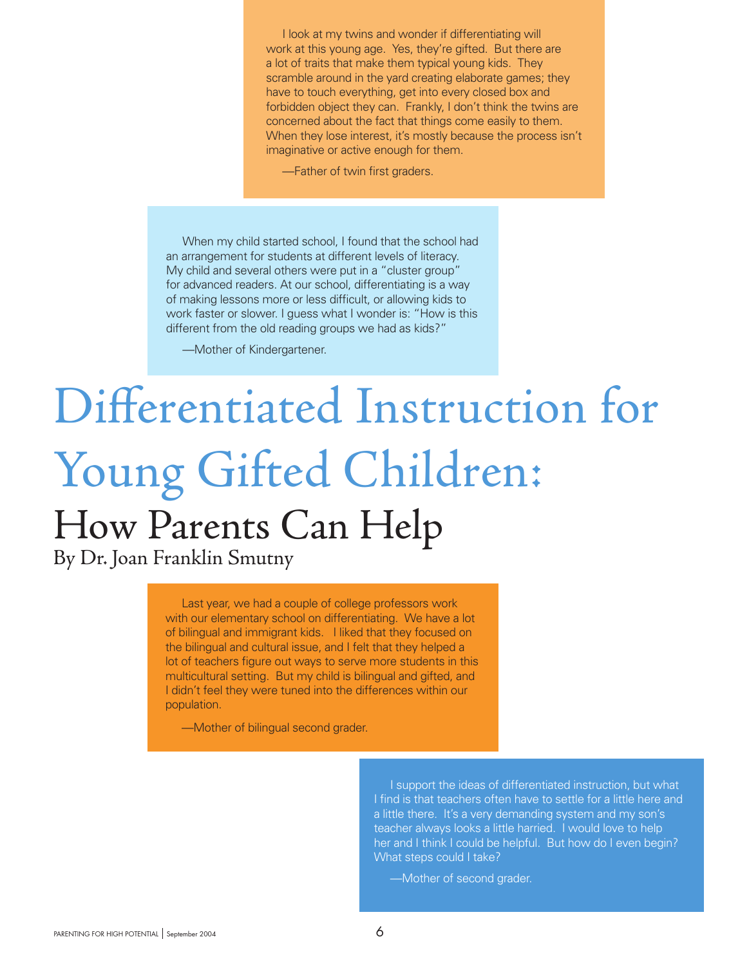I look at my twins and wonder if differentiating will work at this young age. Yes, they're gifted. But there are a lot of traits that make them typical young kids. They scramble around in the yard creating elaborate games; they have to touch everything, get into every closed box and forbidden object they can. Frankly, I don't think the twins are concerned about the fact that things come easily to them. When they lose interest, it's mostly because the process isn't imaginative or active enough for them.

—Father of twin first graders.

When my child started school, I found that the school had an arrangement for students at different levels of literacy. My child and several others were put in a "cluster group" for advanced readers. At our school, differentiating is a way of making lessons more or less difficult, or allowing kids to work faster or slower. I guess what I wonder is: "How is this different from the old reading groups we had as kids?"

—Mother of Kindergartener.

# Differentiated Instruction for Young Gifted Children: How Parents Can Help By Dr. Joan Franklin Smutny

Last year, we had a couple of college professors work with our elementary school on differentiating. We have a lot of bilingual and immigrant kids. I liked that they focused on the bilingual and cultural issue, and I felt that they helped a lot of teachers figure out ways to serve more students in this multicultural setting. But my child is bilingual and gifted, and I didn't feel they were tuned into the differences within our population.

—Mother of bilingual second grader.

I support the ideas of differentiated instruction, but what I find is that teachers often have to settle for a little here and a little there. It's a very demanding system and my son's teacher always looks a little harried. I would love to help her and I think I could be helpful. But how do I even begin? What steps could I take?

—Mother of second grader.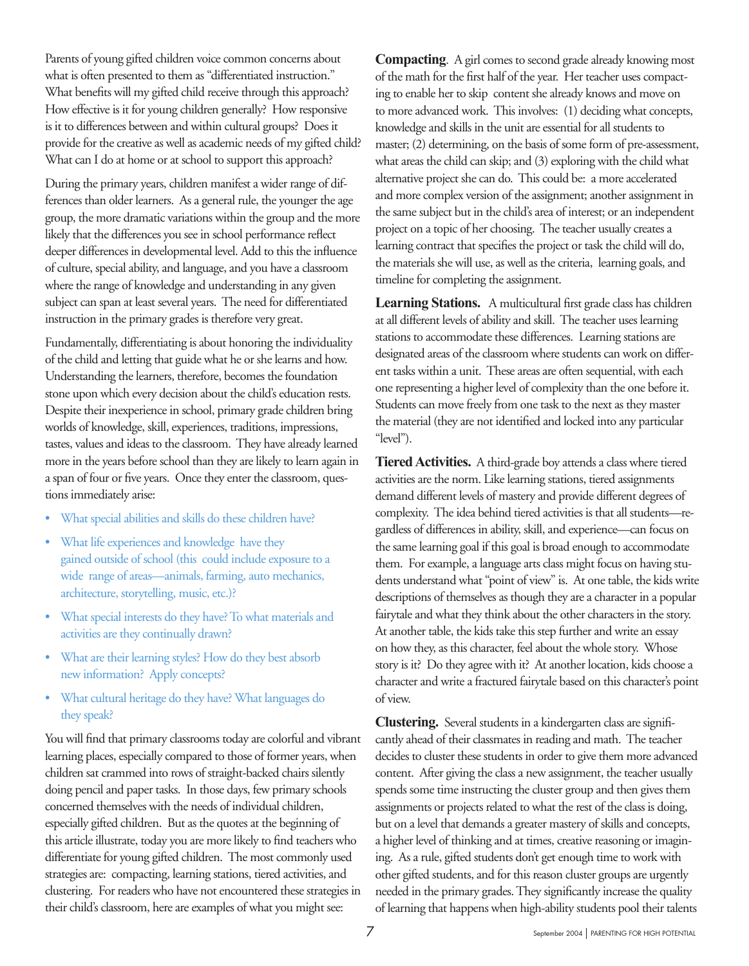Parents of young gifted children voice common concerns about what is often presented to them as "differentiated instruction." What benefits will my gifted child receive through this approach? How effective is it for young children generally? How responsive is it to differences between and within cultural groups? Does it provide for the creative as well as academic needs of my gifted child? What can I do at home or at school to support this approach?

During the primary years, children manifest a wider range of differences than older learners. As a general rule, the younger the age group, the more dramatic variations within the group and the more likely that the differences you see in school performance reflect deeper differences in developmental level. Add to this the influence of culture, special ability, and language, and you have a classroom where the range of knowledge and understanding in any given subject can span at least several years. The need for differentiated instruction in the primary grades is therefore very great.

Fundamentally, differentiating is about honoring the individuality of the child and letting that guide what he or she learns and how. Understanding the learners, therefore, becomes the foundation stone upon which every decision about the child's education rests. Despite their inexperience in school, primary grade children bring worlds of knowledge, skill, experiences, traditions, impressions, tastes, values and ideas to the classroom. They have already learned more in the years before school than they are likely to learn again in a span of four or five years. Once they enter the classroom, questions immediately arise:

- What special abilities and skills do these children have?
- What life experiences and knowledge have they gained outside of school (this could include exposure to a wide range of areas—animals, farming, auto mechanics, architecture, storytelling, music, etc.)?
- What special interests do they have? To what materials and activities are they continually drawn?
- What are their learning styles? How do they best absorb new information? Apply concepts?
- What cultural heritage do they have? What languages do they speak?

You will find that primary classrooms today are colorful and vibrant learning places, especially compared to those of former years, when children sat crammed into rows of straight-backed chairs silently doing pencil and paper tasks. In those days, few primary schools concerned themselves with the needs of individual children, especially gifted children. But as the quotes at the beginning of this article illustrate, today you are more likely to find teachers who differentiate for young gifted children. The most commonly used strategies are: compacting, learning stations, tiered activities, and clustering. For readers who have not encountered these strategies in their child's classroom, here are examples of what you might see:

**Compacting**. A girl comes to second grade already knowing most of the math for the first half of the year. Her teacher uses compacting to enable her to skip content she already knows and move on to more advanced work. This involves: (1) deciding what concepts, knowledge and skills in the unit are essential for all students to master; (2) determining, on the basis of some form of pre-assessment, what areas the child can skip; and (3) exploring with the child what alternative project she can do. This could be: a more accelerated and more complex version of the assignment; another assignment in the same subject but in the child's area of interest; or an independent project on a topic of her choosing. The teacher usually creates a learning contract that specifies the project or task the child will do, the materials she will use, as well as the criteria, learning goals, and timeline for completing the assignment.

**Learning Stations.** A multicultural first grade class has children at all different levels of ability and skill. The teacher uses learning stations to accommodate these differences. Learning stations are designated areas of the classroom where students can work on different tasks within a unit. These areas are often sequential, with each one representing a higher level of complexity than the one before it. Students can move freely from one task to the next as they master the material (they are not identified and locked into any particular "level").

**Tiered Activities.** A third-grade boy attends a class where tiered activities are the norm. Like learning stations, tiered assignments demand different levels of mastery and provide different degrees of complexity. The idea behind tiered activities is that all students—regardless of differences in ability, skill, and experience—can focus on the same learning goal if this goal is broad enough to accommodate them. For example, a language arts class might focus on having students understand what "point of view" is. At one table, the kids write descriptions of themselves as though they are a character in a popular fairytale and what they think about the other characters in the story. At another table, the kids take this step further and write an essay on how they, as this character, feel about the whole story. Whose story is it? Do they agree with it? At another location, kids choose a character and write a fractured fairytale based on this character's point of view.

**Clustering.** Several students in a kindergarten class are significantly ahead of their classmates in reading and math. The teacher decides to cluster these students in order to give them more advanced content. After giving the class a new assignment, the teacher usually spends some time instructing the cluster group and then gives them assignments or projects related to what the rest of the class is doing, but on a level that demands a greater mastery of skills and concepts, a higher level of thinking and at times, creative reasoning or imagining. As a rule, gifted students don't get enough time to work with other gifted students, and for this reason cluster groups are urgently needed in the primary grades. They significantly increase the quality of learning that happens when high-ability students pool their talents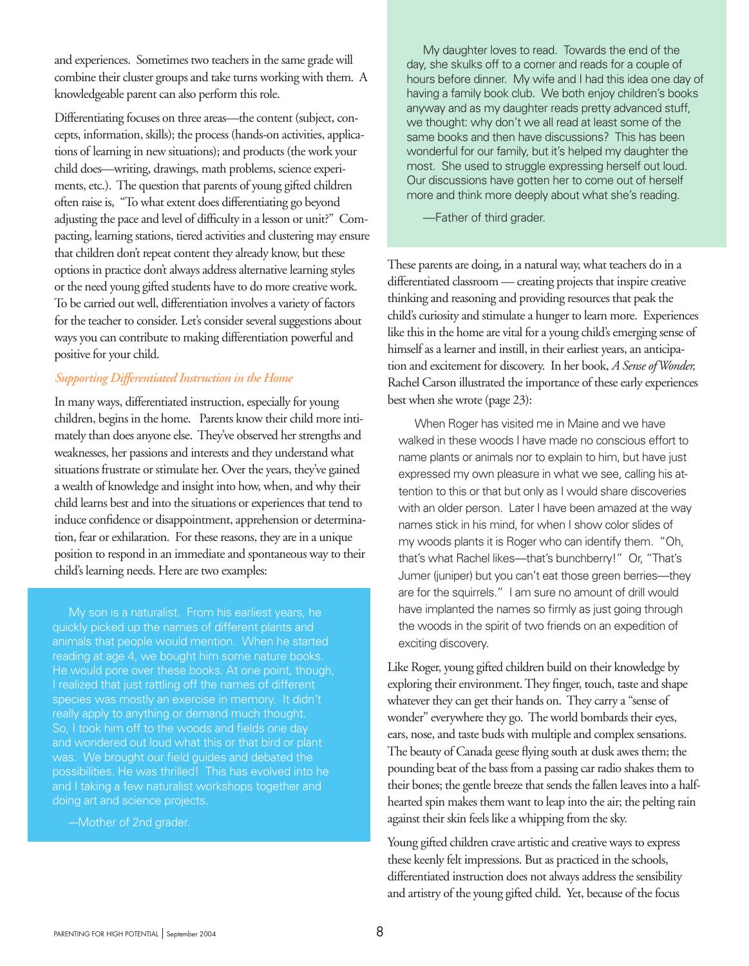and experiences. Sometimes two teachers in the same grade will combine their cluster groups and take turns working with them. A knowledgeable parent can also perform this role.

Differentiating focuses on three areas—the content (subject, concepts, information, skills); the process (hands-on activities, applications of learning in new situations); and products (the work your child does—writing, drawings, math problems, science experiments, etc.). The question that parents of young gifted children often raise is, "To what extent does differentiating go beyond adjusting the pace and level of difficulty in a lesson or unit?" Compacting, learning stations, tiered activities and clustering may ensure that children don't repeat content they already know, but these options in practice don't always address alternative learning styles or the need young gifted students have to do more creative work. To be carried out well, differentiation involves a variety of factors for the teacher to consider. Let's consider several suggestions about ways you can contribute to making differentiation powerful and positive for your child.

# *Supporting Differentiated Instruction in the Home*

In many ways, differentiated instruction, especially for young children, begins in the home. Parents know their child more intimately than does anyone else. They've observed her strengths and weaknesses, her passions and interests and they understand what situations frustrate or stimulate her. Over the years, they've gained a wealth of knowledge and insight into how, when, and why their child learns best and into the situations or experiences that tend to induce confidence or disappointment, apprehension or determination, fear or exhilaration. For these reasons, they are in a unique position to respond in an immediate and spontaneous way to their child's learning needs. Here are two examples:

My son is a naturalist. From his earliest years, he quickly picked up the names of different plants and animals that people would mention. When he started reading at age 4, we bought him some nature books. He would pore over these books. At one point, though, I realized that just rattling off the names of different species was mostly an exercise in memory. It didn't really apply to anything or demand much thought. So, I took him off to the woods and fields one day and wondered out loud what this or that bird or plant was. We brought our field guides and debated the possibilities. He was thrilled! This has evolved into he and I taking a few naturalist workshops together and doing art and science projects.

-Mother of 2nd grader.

My daughter loves to read. Towards the end of the day, she skulks off to a corner and reads for a couple of hours before dinner. My wife and I had this idea one day of having a family book club. We both enjoy children's books anyway and as my daughter reads pretty advanced stuff, we thought: why don't we all read at least some of the same books and then have discussions? This has been wonderful for our family, but it's helped my daughter the most. She used to struggle expressing herself out loud. Our discussions have gotten her to come out of herself more and think more deeply about what she's reading.

---Father of third grader.

These parents are doing, in a natural way, what teachers do in a differentiated classroom — creating projects that inspire creative thinking and reasoning and providing resources that peak the child's curiosity and stimulate a hunger to learn more. Experiences like this in the home are vital for a young child's emerging sense of himself as a learner and instill, in their earliest years, an anticipation and excitement for discovery. In her book, *A Sense of Wonder,*  Rachel Carson illustrated the importance of these early experiences best when she wrote (page 23):

When Roger has visited me in Maine and we have walked in these woods I have made no conscious effort to name plants or animals nor to explain to him, but have just expressed my own pleasure in what we see, calling his attention to this or that but only as I would share discoveries with an older person. Later I have been amazed at the way names stick in his mind, for when I show color slides of my woods plants it is Roger who can identify them. "Oh, that's what Rachel likes—that's bunchberry!" Or, "That's Jumer (juniper) but you can't eat those green berries—they are for the squirrels." I am sure no amount of drill would have implanted the names so firmly as just going through the woods in the spirit of two friends on an expedition of exciting discovery.

Like Roger, young gifted children build on their knowledge by exploring their environment. They finger, touch, taste and shape whatever they can get their hands on. They carry a "sense of wonder" everywhere they go. The world bombards their eyes, ears, nose, and taste buds with multiple and complex sensations. The beauty of Canada geese flying south at dusk awes them; the pounding beat of the bass from a passing car radio shakes them to their bones; the gentle breeze that sends the fallen leaves into a halfhearted spin makes them want to leap into the air; the pelting rain against their skin feels like a whipping from the sky.

Young gifted children crave artistic and creative ways to express these keenly felt impressions. But as practiced in the schools, differentiated instruction does not always address the sensibility and artistry of the young gifted child. Yet, because of the focus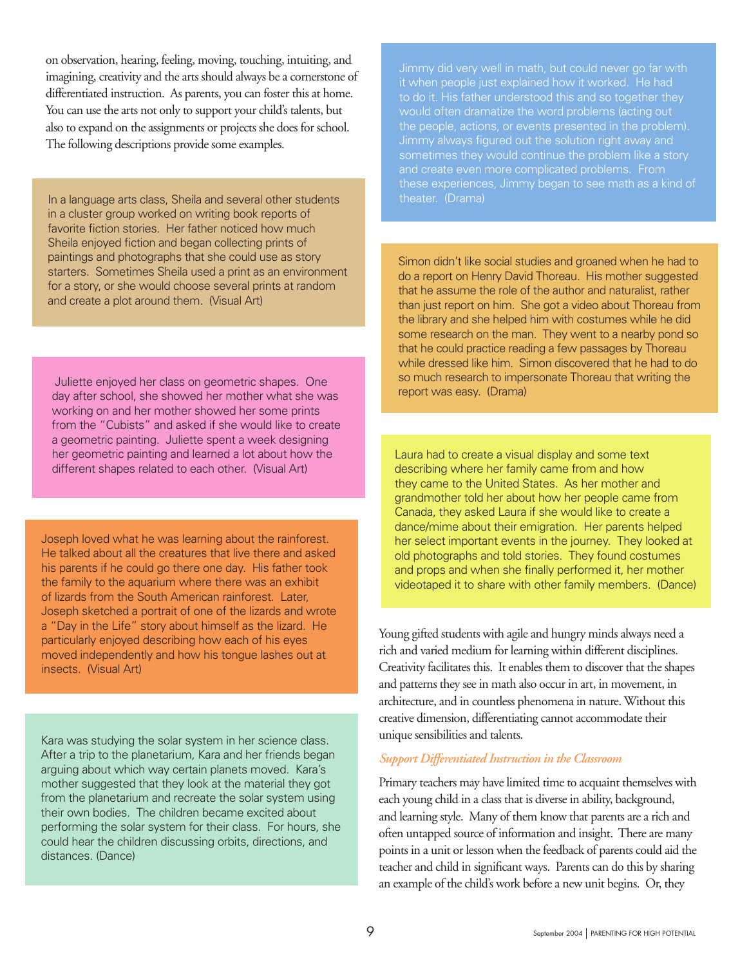on observation, hearing, feeling, moving, touching, intuiting, and imagining, creativity and the arts should always be a cornerstone of differentiated instruction. As parents, you can foster this at home. You can use the arts not only to support your child's talents, but also to expand on the assignments or projects she does for school. The following descriptions provide some examples.

In a language arts class, Sheila and several other students in a cluster group worked on writing book reports of favorite fiction stories. Her father noticed how much Sheila enjoyed fiction and began collecting prints of paintings and photographs that she could use as story starters. Sometimes Sheila used a print as an environment for a story, or she would choose several prints at random and create a plot around them. (Visual Art)

Juliette enjoyed her class on geometric shapes. One day after school, she showed her mother what she was working on and her mother showed her some prints from the "Cubists" and asked if she would like to create a geometric painting. Juliette spent a week designing her geometric painting and learned a lot about how the different shapes related to each other. (Visual Art)

Joseph loved what he was learning about the rainforest. He talked about all the creatures that live there and asked his parents if he could go there one day. His father took the family to the aquarium where there was an exhibit of lizards from the South American rainforest. Later, Joseph sketched a portrait of one of the lizards and wrote a "Day in the Life" story about himself as the lizard. He particularly enjoyed describing how each of his eyes moved independently and how his tongue lashes out at insects. (Visual Art)

Kara was studying the solar system in her science class. After a trip to the planetarium, Kara and her friends began arguing about which way certain planets moved. Kara's mother suggested that they look at the material they got from the planetarium and recreate the solar system using their own bodies. The children became excited about performing the solar system for their class. For hours, she could hear the children discussing orbits, directions, and distances. (Dance)

Jimmy did very well in math, but could never go far with it when people just explained how it worked. He had to do it. His father understood this and so together they would often dramatize the word problems (acting out the people, actions, or events presented in the problem). Jimmy always figured out the solution right away and sometimes they would continue the problem like a story and create even more complicated problems. From these experiences, Jimmy began to see math as a kind of theater. (Drama)

Simon didn't like social studies and groaned when he had to do a report on Henry David Thoreau. His mother suggested that he assume the role of the author and naturalist, rather than just report on him. She got a video about Thoreau from the library and she helped him with costumes while he did some research on the man. They went to a nearby pond so that he could practice reading a few passages by Thoreau while dressed like him. Simon discovered that he had to do so much research to impersonate Thoreau that writing the report was easy. (Drama)

Laura had to create a visual display and some text describing where her family came from and how they came to the United States. As her mother and grandmother told her about how her people came from Canada, they asked Laura if she would like to create a dance/mime about their emigration. Her parents helped her select important events in the journey. They looked at old photographs and told stories. They found costumes and props and when she finally performed it, her mother videotaped it to share with other family members. (Dance)

Young gifted students with agile and hungry minds always need a rich and varied medium for learning within different disciplines. Creativity facilitates this. It enables them to discover that the shapes and patterns they see in math also occur in art, in movement, in architecture, and in countless phenomena in nature. Without this creative dimension, differentiating cannot accommodate their unique sensibilities and talents.

### *Support Differentiated Instruction in the Classroom*

Primary teachers may have limited time to acquaint themselves with each young child in a class that is diverse in ability, background, and learning style. Many of them know that parents are a rich and often untapped source of information and insight. There are many points in a unit or lesson when the feedback of parents could aid the teacher and child in significant ways. Parents can do this by sharing an example of the child's work before a new unit begins. Or, they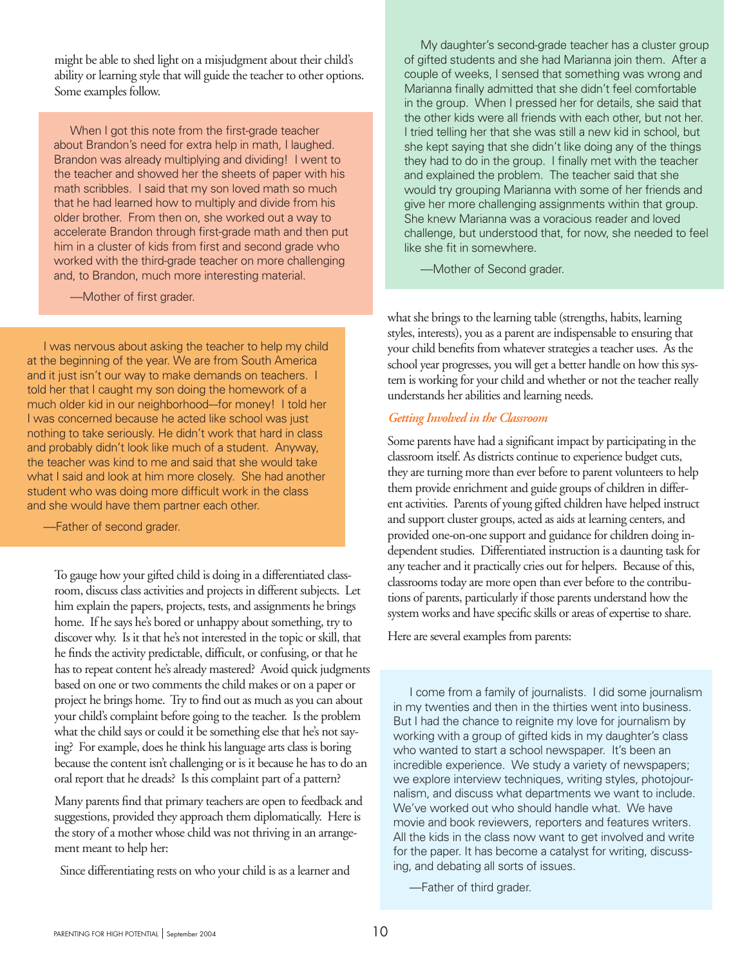might be able to shed light on a misjudgment about their child's ability or learning style that will guide the teacher to other options. Some examples follow.

When I got this note from the first-grade teacher about Brandon's need for extra help in math, I laughed. Brandon was already multiplying and dividing! I went to the teacher and showed her the sheets of paper with his math scribbles. I said that my son loved math so much that he had learned how to multiply and divide from his older brother. From then on, she worked out a way to accelerate Brandon through first-grade math and then put him in a cluster of kids from first and second grade who worked with the third-grade teacher on more challenging and, to Brandon, much more interesting material.

---Mother of first grader.

I was nervous about asking the teacher to help my child at the beginning of the year. We are from South America and it just isn't our way to make demands on teachers. I told her that I caught my son doing the homework of a much older kid in our neighborhood--for money! I told her I was concerned because he acted like school was just nothing to take seriously. He didn't work that hard in class and probably didn't look like much of a student. Anyway, the teacher was kind to me and said that she would take what I said and look at him more closely. She had another student who was doing more difficult work in the class and she would have them partner each other.

---Father of second grader.

To gauge how your gifted child is doing in a differentiated classroom, discuss class activities and projects in different subjects. Let him explain the papers, projects, tests, and assignments he brings home. If he says he's bored or unhappy about something, try to discover why. Is it that he's not interested in the topic or skill, that he finds the activity predictable, difficult, or confusing, or that he has to repeat content he's already mastered? Avoid quick judgments based on one or two comments the child makes or on a paper or project he brings home. Try to find out as much as you can about your child's complaint before going to the teacher. Is the problem what the child says or could it be something else that he's not saying? For example, does he think his language arts class is boring because the content isn't challenging or is it because he has to do an oral report that he dreads? Is this complaint part of a pattern?

Many parents find that primary teachers are open to feedback and suggestions, provided they approach them diplomatically. Here is the story of a mother whose child was not thriving in an arrangement meant to help her:

Since differentiating rests on who your child is as a learner and

My daughter's second-grade teacher has a cluster group of gifted students and she had Marianna join them. After a couple of weeks, I sensed that something was wrong and Marianna finally admitted that she didn't feel comfortable in the group. When I pressed her for details, she said that the other kids were all friends with each other, but not her. I tried telling her that she was still a new kid in school, but she kept saying that she didn't like doing any of the things they had to do in the group. I finally met with the teacher and explained the problem. The teacher said that she would try grouping Marianna with some of her friends and give her more challenging assignments within that group. She knew Marianna was a voracious reader and loved challenge, but understood that, for now, she needed to feel like she fit in somewhere.

---Mother of Second grader.

what she brings to the learning table (strengths, habits, learning styles, interests), you as a parent are indispensable to ensuring that your child benefits from whatever strategies a teacher uses. As the school year progresses, you will get a better handle on how this system is working for your child and whether or not the teacher really understands her abilities and learning needs.

# *Getting Involved in the Classroom*

Some parents have had a significant impact by participating in the classroom itself. As districts continue to experience budget cuts, they are turning more than ever before to parent volunteers to help them provide enrichment and guide groups of children in different activities. Parents of young gifted children have helped instruct and support cluster groups, acted as aids at learning centers, and provided one-on-one support and guidance for children doing independent studies. Differentiated instruction is a daunting task for any teacher and it practically cries out for helpers. Because of this, classrooms today are more open than ever before to the contributions of parents, particularly if those parents understand how the system works and have specific skills or areas of expertise to share.

Here are several examples from parents:

I come from a family of journalists. I did some journalism in my twenties and then in the thirties went into business. But I had the chance to reignite my love for journalism by working with a group of gifted kids in my daughter's class who wanted to start a school newspaper. It's been an incredible experience. We study a variety of newspapers; we explore interview techniques, writing styles, photojournalism, and discuss what departments we want to include. We've worked out who should handle what. We have movie and book reviewers, reporters and features writers. All the kids in the class now want to get involved and write for the paper. It has become a catalyst for writing, discussing, and debating all sorts of issues.

—Father of third grader.